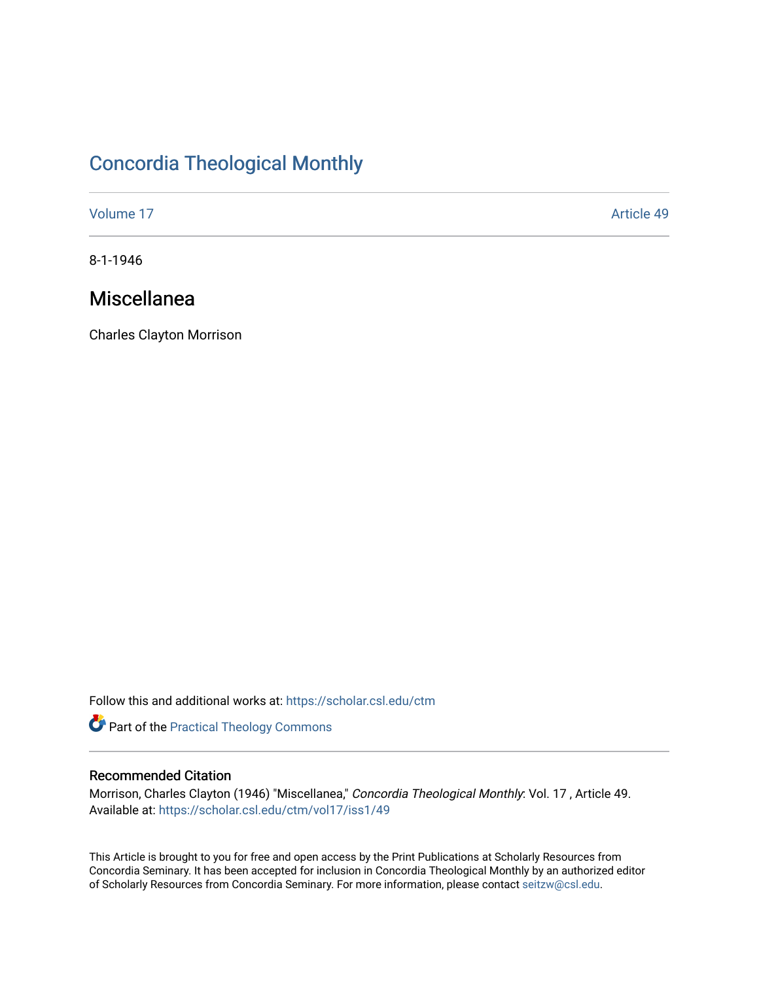# [Concordia Theological Monthly](https://scholar.csl.edu/ctm)

[Volume 17](https://scholar.csl.edu/ctm/vol17) Article 49

8-1-1946

## Miscellanea

Charles Clayton Morrison

Follow this and additional works at: [https://scholar.csl.edu/ctm](https://scholar.csl.edu/ctm?utm_source=scholar.csl.edu%2Fctm%2Fvol17%2Fiss1%2F49&utm_medium=PDF&utm_campaign=PDFCoverPages)

Part of the [Practical Theology Commons](http://network.bepress.com/hgg/discipline/1186?utm_source=scholar.csl.edu%2Fctm%2Fvol17%2Fiss1%2F49&utm_medium=PDF&utm_campaign=PDFCoverPages)

### Recommended Citation

Morrison, Charles Clayton (1946) "Miscellanea," Concordia Theological Monthly: Vol. 17 , Article 49. Available at: [https://scholar.csl.edu/ctm/vol17/iss1/49](https://scholar.csl.edu/ctm/vol17/iss1/49?utm_source=scholar.csl.edu%2Fctm%2Fvol17%2Fiss1%2F49&utm_medium=PDF&utm_campaign=PDFCoverPages) 

This Article is brought to you for free and open access by the Print Publications at Scholarly Resources from Concordia Seminary. It has been accepted for inclusion in Concordia Theological Monthly by an authorized editor of Scholarly Resources from Concordia Seminary. For more information, please contact [seitzw@csl.edu](mailto:seitzw@csl.edu).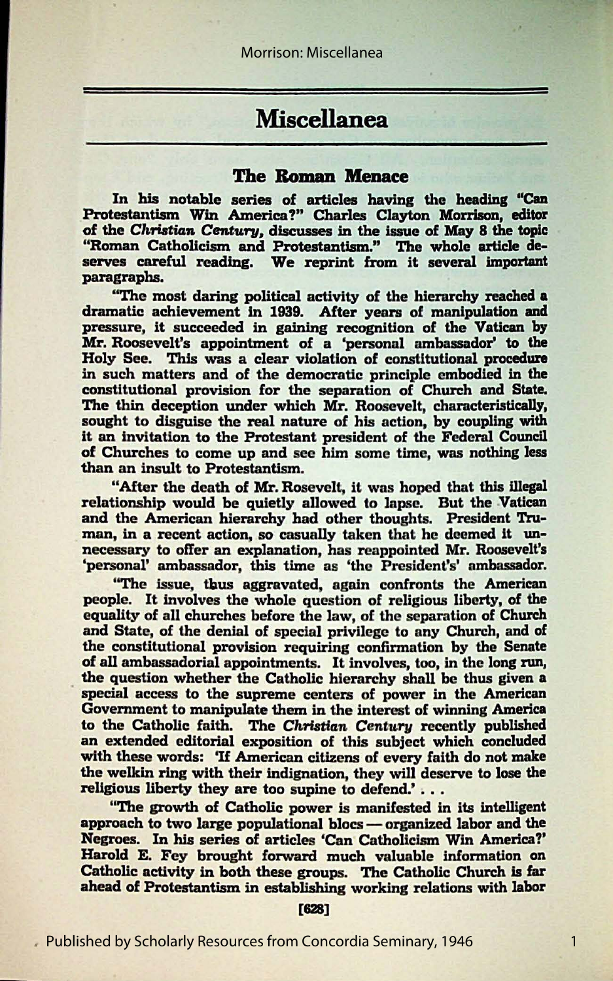## **Miscellanea**

### **The Roman Menace**

In his notable series of articles having the heading "Can Protestantism Win America?" Charles Clayton Morrison, editor of the *Christian Century*, discusses in the issue of May 8 the topic "Roman Catholicism and Protestantism." The whole article deserves careful reading. We reprint from it several important paragraphs.

"The most daring political activity of the hierarchy reached a dramatic achievement in 1939. After years of manipulation and pressure, it succeeded in gaining recognition of the **Vatican** by Mr. Roosevelt's appointment of a 'personal ambassador' to the Holy See. This was a clear violation of constitutional procedure in such matters and of the democratic principle embodied in the constitutional provision for the separation of Church **and State.**  The thin deception under which Mr. Roosevelt, characteristically, sought to disguise the real nature of his action, by coupling with it an invitation to the Protestant president of the Federal Council of Churches to come up and see him some time, was nothing less than an insult to Protestantism.

"After the death of Mr. Rosevelt, it was hoped that this illegal relationship would be quietly allowed to lapse. But the Vatican and the American hierarchy had other thoughts. President Truman, in a recent action, so casually taken that he deemed it unnecessary to offer an explanation, has reappointed Mr. Roosevelt's 'personal' ambassador, this time as 'the President's' ambassador.

"The issue, thus aggravated, again confronts the American people. It involves the whole question of religious liberty, of the equality of all churches before the law, of the separation of Church and State, of the denial of special privilege to any Church, and of the constitutional provision requiring confirmation by the Senate of all ambassadorial appointments. It involves, too, in the long run, the question whether the Catholic hierarchy shall be thus given a special access to the supreme centers of power in the American Government to manipulate them in the interest of **winning** America to the Catholic faith. The *Christian Century* recently published an extended editorial exposition of this subject which concluded with these words: 'If American citizens of every faith do not make the welkin ring with their indignation, they will deserve to lose the religious liberty they are too supine to defend.' . . .

"The growth of Catholic power is manifested in its intelligent approach to two large populational blocs - organized labor and the **Negroes.** In his series of articles 'Can Catholicism Win America?' Harold E. Fey brought forward much valuable information on Catholic activity in both these groups. The Catholic Church is far **ahead** of Protestantism in establishing working relations with labor

[628]

1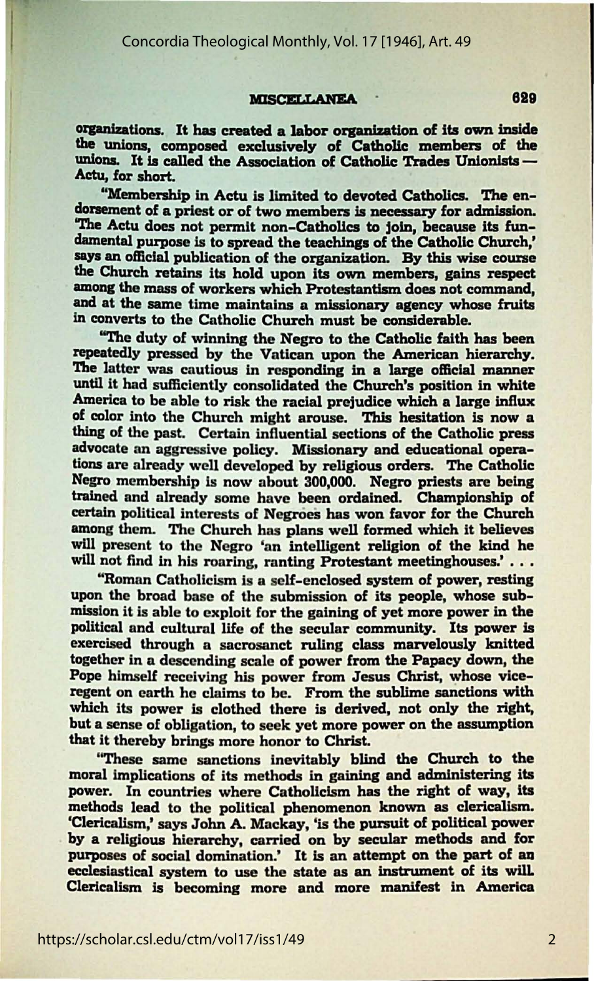### MISCELLANEA 629

organizations. It has created a labor organization of its own inside the unions, composed exclusively of Catholic members of the unions. It is called the Association of Catholic Trades Unionists --<br>Actu, for short.

"Membership in Actu is limited to devoted Catholics. The endorsement of a priest or of two members is necessary for admission. "The Actu does not permit non-Catholics to join, because its fundamental purpose is to spread the teachings of the Catholic Church,' **says an** official publication of the organizailon. By this wise course the Church retains its hold upon its own members, gains respect among the mass of workers which Protestantism does not command, and at the same time maintains a missionary agency whose fruits in converts to the Catholic Church must be considerable.

''The duty of winning the Negro to the Catholic faith has been repeatedly pressed by the Vatican upon the American hierarchy. The latter was cautious in responding in a large official manner until it had sufficiently consolidated the Church's position in white America to be able to risk the racial prejudice which a large influx of color into the Church might arouse. This hesitation is now a thing of the past. Certain influential sections of the Catholic press advocate an aggressive policy. Missionary and educational operations are already well developed by religious orders. The Catholic Negro membership is now about 300,000. Negro priests are being trained and already some have been ordained. Championship of certain political interests of Negroes has won favor for the Church among them. The Church has plans well formed which it believes will present to the Negro 'an intelligent religion of the kind he will not find in his roaring, ranting Protestant meetinghouses.' . . .

"Roman Catholicism is a self-enclosed system of power, resting upon the broad base of the submission of its people, whose submission it is able to exploit for the **gaining** of yet more power in the political and cultural life of the secular community. Its power is exercised through a sacrosanct ruling class marvelously knitted together in a descending scale of power from the **Papacy** down, the Pope himself receiving his power from Jesus Christ, whose viceregent on earth he claims to be. From the sublime sanctions with which its power is clothed there is derived, not only the right, but a sense of obligation, to seek yet more power on the assumption that it thereby brings more honor to ChrisL

''These same sanctions inevitably blind the Church to the moral implications of its methods in gaining and administering its power. In countries where Catholicism has the right of way, its methods lead to the political phenomenon known as clericalism. 'Clericalism,' says John A. Mackay, 'is the pursuit of political power by a religious hierarchy, carried on by secular methods and for purposes of social domination.' It is an attempt on the part of an ecclesiastical system to use the state **as an** Instrument of its wilt Clericalism is becoming more and more manifest in America